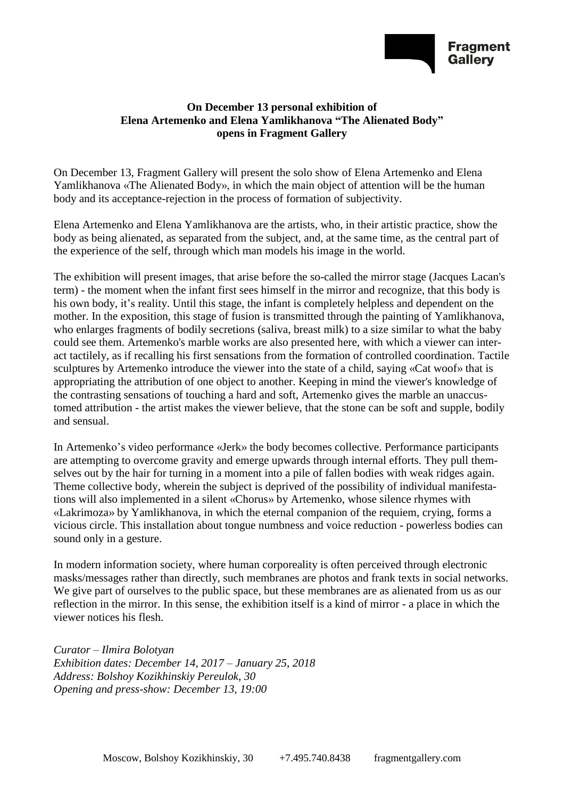

## **On December 13 personal exhibition of Elena Artemenko and Elena Yamlikhanova "The Alienated Body" opens in Fragment Gallery**

On December 13, Fragment Gallery will present the solo show of Elena Artemenko and Elena Yamlikhanova «The Alienated Body», in which the main object of attention will be the human body and its acceptance-rejection in the process of formation of subjectivity.

Elena Artemenko and Elena Yamlikhanova are the artists, who, in their artistic practice, show the body as being alienated, as separated from the subject, and, at the same time, as the central part of the experience of the self, through which man models his image in the world.

The exhibition will present images, that arise before the so-called the mirror stage (Jacques Lacan's term) - the moment when the infant first sees himself in the mirror and recognize, that this body is his own body, it's reality. Until this stage, the infant is completely helpless and dependent on the mother. In the exposition, this stage of fusion is transmitted through the painting of Yamlikhanova, who enlarges fragments of bodily secretions (saliva, breast milk) to a size similar to what the baby could see them. Artemenko's marble works are also presented here, with which a viewer can interact tactilely, as if recalling his first sensations from the formation of controlled coordination. Tactile sculptures by Artemenko introduce the viewer into the state of a child, saying «Cat woof» that is appropriating the attribution of one object to another. Keeping in mind the viewer's knowledge of the contrasting sensations of touching a hard and soft, Artemenko gives the marble an unaccustomed attribution - the artist makes the viewer believe, that the stone can be soft and supple, bodily and sensual.

In Artemenko's video performance «Jerk» the body becomes collective. Performance participants are attempting to overcome gravity and emerge upwards through internal efforts. They pull themselves out by the hair for turning in a moment into a pile of fallen bodies with weak ridges again. Theme collective body, wherein the subject is deprived of the possibility of individual manifestations will also implemented in a silent «Chorus» by Artemenko, whose silence rhymes with «Lakrimoza» by Yamlikhanova, in which the eternal companion of the requiem, crying, forms a vicious circle. This installation about tongue numbness and voice reduction - powerless bodies can sound only in a gesture.

In modern information society, where human corporeality is often perceived through electronic masks/messages rather than directly, such membranes are photos and frank texts in social networks. We give part of ourselves to the public space, but these membranes are as alienated from us as our reflection in the mirror. In this sense, the exhibition itself is a kind of mirror - a place in which the viewer notices his flesh.

*Curator – Ilmira Bolotyan Exhibition dates: December 14, 2017 – January 25, 2018 Address: Bolshoy Kozikhinskiy Pereulok, 30 Opening and press-show: December 13, 19:00*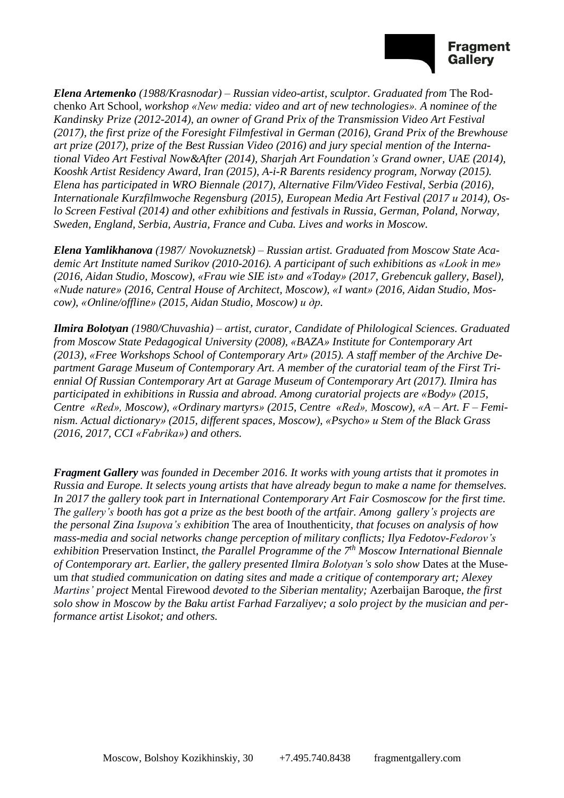

*Elena Artemenko (1988/Krasnodar) – Russian video-artist, sculptor. Graduated from* The Rodchenko Art School*, workshop «New media: video and art of new technologies». A nominee of the Kandinsky Prize (2012-2014), an owner of Grand Prix of the Transmission Video Art Festival (2017), the first prize of the Foresight Filmfestival in German (2016), Grand Prix of the Brewhouse art prize (2017), prize of the Best Russian Video (2016) and jury special mention of the International Video Art Festival Now&After (2014), Sharjah Art Foundation's Grand owner, UAE (2014), Kooshk Artist Residency Award, Iran (2015), A-i-R Barents residency program, Norway (2015). Elena has participated in WRO Biennale (2017), Alternative Film/Video Festival, Serbia (2016), Internationale Kurzfilmwoche Regensburg (2015), European Media Art Festival (2017 и 2014), Oslo Screen Festival (2014) and other exhibitions and festivals in Russia, German, Poland, Norway, Sweden, England, Serbia, Austria, France and Cuba. Lives and works in Moscow.*

*Elena Yamlikhanova (1987/ Novokuznetsk) – Russian artist. Graduated from Moscow State Academic Art Institute named Surikov (2010-2016). A participant of such exhibitions as «Look in me» (2016, Aidan Studio, Moscow), «Frau wie SIE ist» and «Today» (2017, Grebencuk gallery, Basel), «Nude nature» (2016, Central House of Architect, Moscow), «I want» (2016, Aidan Studio, Moscow), «Online/offline» (2015, Aidan Studio, Moscow) и др.*

*Ilmira Bolotyan (1980/Chuvashia) – artist, curator, Candidate of Philological Sciences. Graduated from Moscow State Pedagogical University (2008), «BAZA» Institute for Contemporary Art (2013), «Free Workshops School of Contemporary Art» (2015). A staff member of the Archive Department Garage Museum of Contemporary Art. A member of the curatorial team of the First Triennial Of Russian Contemporary Art at Garage Museum of Contemporary Art (2017). Ilmira has participated in exhibitions in Russia and abroad. Among curatorial projects are «Body» (2015, Centre «Red», Moscow), «Ordinary martyrs» (2015, Centre «Red», Moscow), «A – Art. F – Feminism. Actual dictionary» (2015, different spaces, Moscow), «Psycho» и Stem of the Black Grass (2016, 2017, CCI «Fabrika») and others.*

*Fragment Gallery was founded in December 2016. It works with young artists that it promotes in Russia and Europe. It selects young artists that have already begun to make a name for themselves. In 2017 the gallery took part in International Contemporary Art Fair Cosmoscow for the first time. The gallery's booth has got a prize as the best booth of the artfair. Among gallery's projects are the personal Zina Isupova's exhibition* The area of Inouthenticity*, that focuses on analysis of how mass-media and social networks change perception of military conflicts; Ilya Fedotov-Fedorov's exhibition* Preservation Instinct*, the Parallel Programme of the 7 th Moscow International Biennale of Contemporary art. Earlier, the gallery presented Ilmira Bolotyan's solo show* Dates at the Museum *that studied communication on dating sites and made a critique of contemporary art; Alexey Martins' project* Mental Firewood *devoted to the Siberian mentality;* Azerbaijan Baroque*, the first solo show in Moscow by the Baku artist Farhad Farzaliyev; a solo project by the musician and performance artist Lisokot; and others.*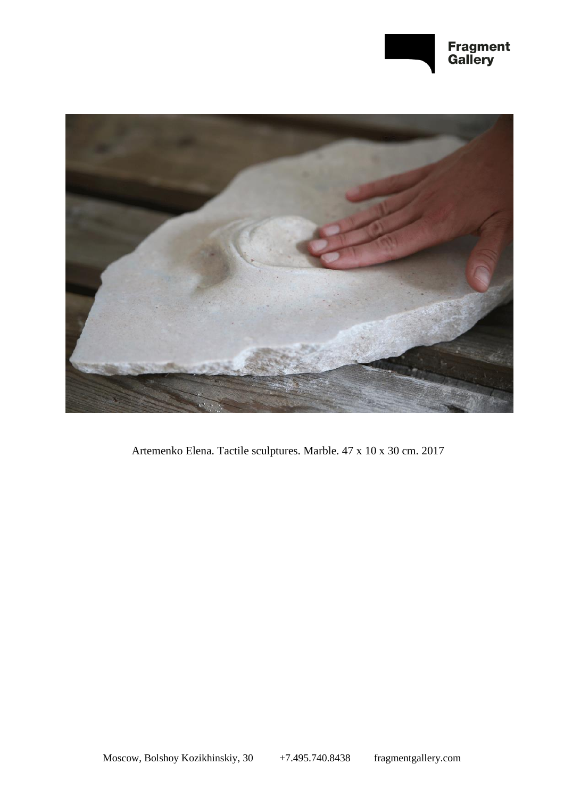



Artemenko Elena. Tactile sculptures. Marble. 47 х 10 х 30 cm. 2017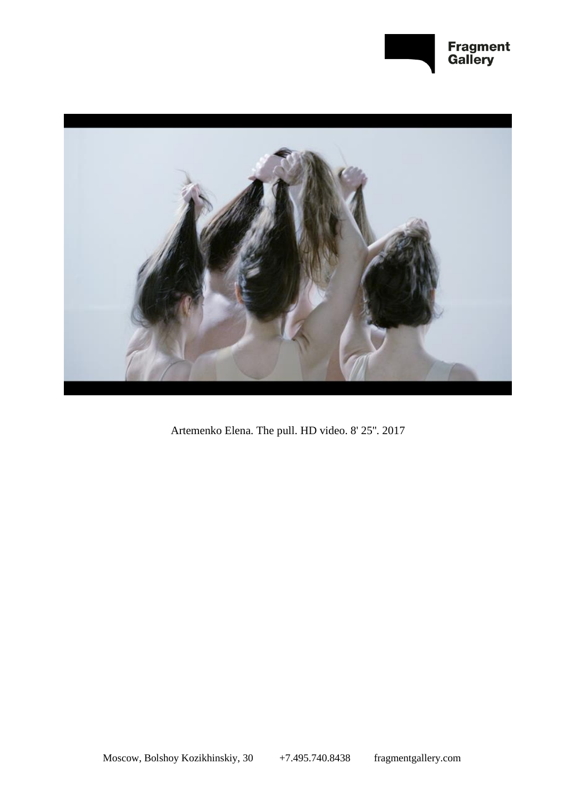



Artemenko Elena. The pull. HD video. 8' 25''. 2017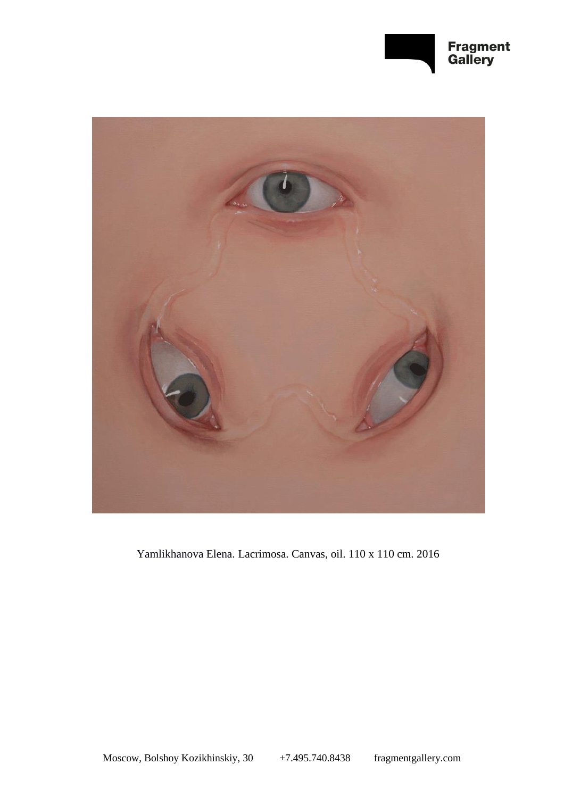



Yamlikhanova Elena. Lacrimosa. Canvas, oil. 110 x 110 cm. 2016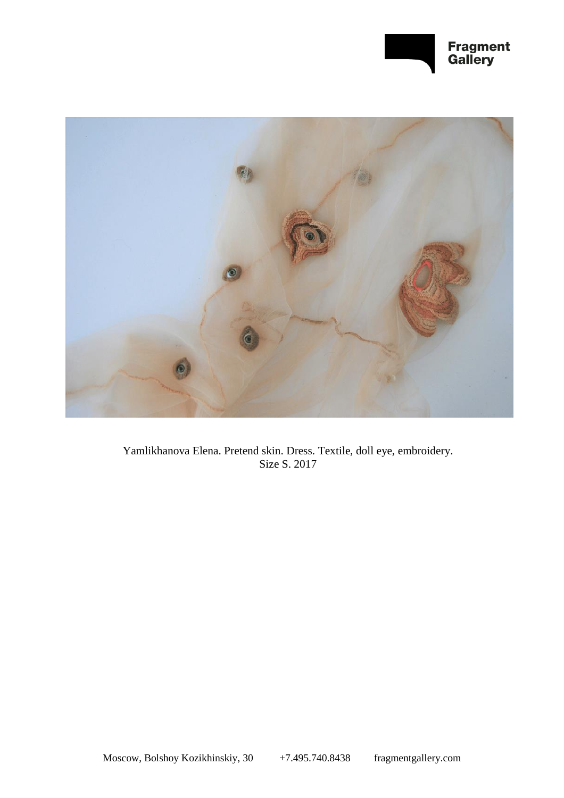



Yamlikhanova Elena. Pretend skin. Dress. Textile, doll eye, embroidery. Size S. 2017